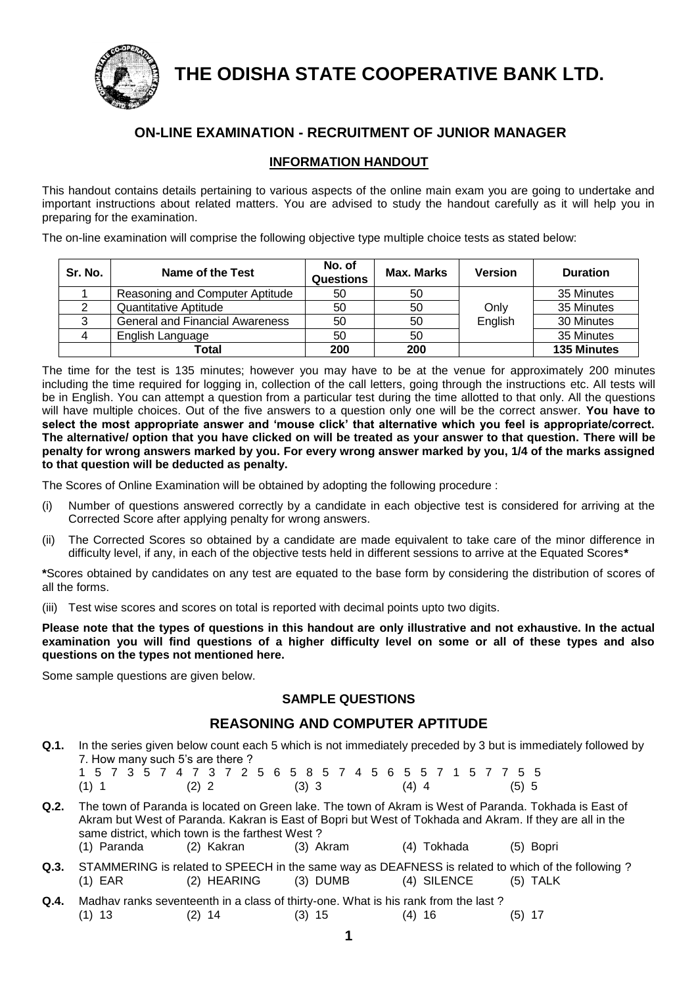

**THE ODISHA STATE COOPERATIVE BANK LTD.**

# **ON-LINE EXAMINATION - RECRUITMENT OF JUNIOR MANAGER**

### **INFORMATION HANDOUT**

This handout contains details pertaining to various aspects of the online main exam you are going to undertake and important instructions about related matters. You are advised to study the handout carefully as it will help you in preparing for the examination.

The on-line examination will comprise the following objective type multiple choice tests as stated below:

| Sr. No. | Name of the Test                       | No. of<br><b>Questions</b> | Max. Marks | <b>Version</b> | <b>Duration</b>    |
|---------|----------------------------------------|----------------------------|------------|----------------|--------------------|
|         | Reasoning and Computer Aptitude        | 50                         | 50         |                | 35 Minutes         |
|         | Quantitative Aptitude                  | 50                         | 50         | Only           | 35 Minutes         |
|         | <b>General and Financial Awareness</b> | 50                         | 50         | English        | 30 Minutes         |
|         | English Language                       | 50                         | 50         |                | 35 Minutes         |
|         | Total                                  | 200                        | 200        |                | <b>135 Minutes</b> |

The time for the test is 135 minutes; however you may have to be at the venue for approximately 200 minutes including the time required for logging in, collection of the call letters, going through the instructions etc. All tests will be in English. You can attempt a question from a particular test during the time allotted to that only. All the questions will have multiple choices. Out of the five answers to a question only one will be the correct answer. **You have to select the most appropriate answer and 'mouse click' that alternative which you feel is appropriate/correct. The alternative/ option that you have clicked on will be treated as your answer to that question. There will be penalty for wrong answers marked by you. For every wrong answer marked by you, 1/4 of the marks assigned to that question will be deducted as penalty.**

The Scores of Online Examination will be obtained by adopting the following procedure :

- (i) Number of questions answered correctly by a candidate in each objective test is considered for arriving at the Corrected Score after applying penalty for wrong answers.
- (ii) The Corrected Scores so obtained by a candidate are made equivalent to take care of the minor difference in difficulty level, if any, in each of the objective tests held in different sessions to arrive at the Equated Scores**\***

**\***Scores obtained by candidates on any test are equated to the base form by considering the distribution of scores of all the forms.

(iii) Test wise scores and scores on total is reported with decimal points upto two digits.

**Please note that the types of questions in this handout are only illustrative and not exhaustive. In the actual examination you will find questions of a higher difficulty level on some or all of these types and also questions on the types not mentioned here.**

Some sample questions are given below.

#### **SAMPLE QUESTIONS**

### **REASONING AND COMPUTER APTITUDE**

**Q.1.** In the series given below count each 5 which is not immediately preceded by 3 but is immediately followed by 7. How many such 5's are there ?

|         |  | 1 5 7 3 5 7 4 7 3 7 2 5 6 5 8 5 7 4 5 6 5 5 7 1 5 7 7 5 5 |  |         |  |  |  |         |  |  |         |  |  |  |       |
|---------|--|-----------------------------------------------------------|--|---------|--|--|--|---------|--|--|---------|--|--|--|-------|
| $(1)$ 1 |  |                                                           |  | $(2)$ 2 |  |  |  | $(3)$ 3 |  |  | $(4)$ 4 |  |  |  | (5) 5 |

- **Q.2.** The town of Paranda is located on Green lake. The town of Akram is West of Paranda. Tokhada is East of Akram but West of Paranda. Kakran is East of Bopri but West of Tokhada and Akram. If they are all in the same district, which town is the farthest West ? (1) Paranda (2) Kakran (3) Akram (4) Tokhada (5) Bopri
- **Q.3.** STAMMERING is related to SPEECH in the same way as DEAFNESS is related to which of the following ? (1) EAR (2) HEARING (3) DUMB (4) SILENCE (5) TALK
- **Q.4.** Madhav ranks seventeenth in a class of thirty-one. What is his rank from the last ? (1) 13 (2) 14 (3) 15 (4) 16 (5) 17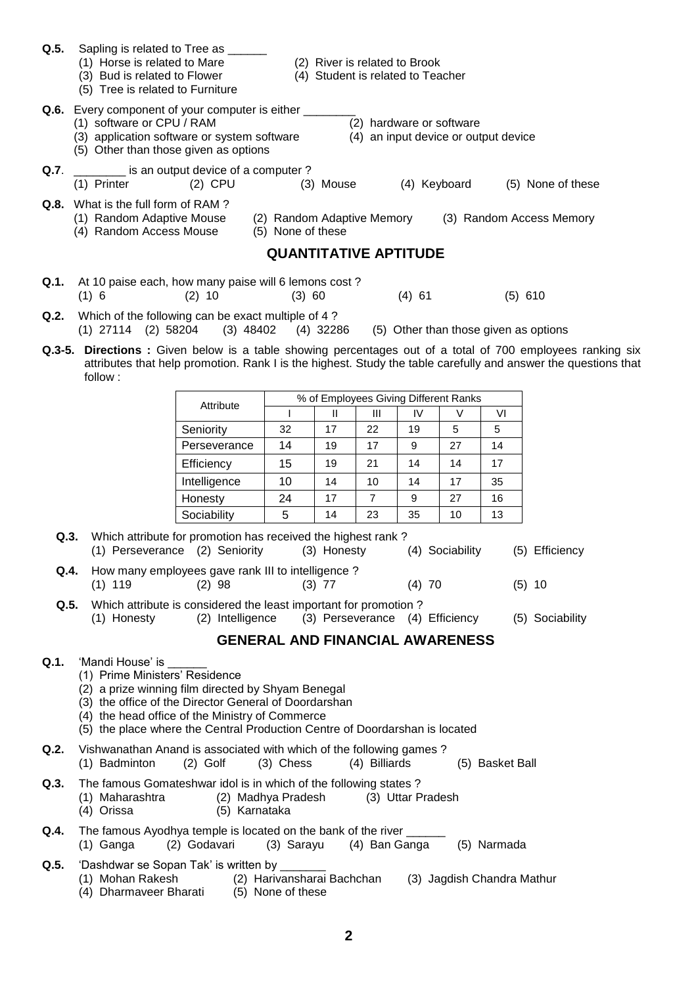| Q.5. | Sapling is related to Tree as ______<br>(1) Horse is related to Mare<br>(3) Bud is related to Flower<br>(5) Tree is related to Furniture                                  |              |                                                 | (2) River is related to Brook<br>(4) Student is related to Teacher |                |              |                          |                                      |                                                                                                                                                                                                                             |
|------|---------------------------------------------------------------------------------------------------------------------------------------------------------------------------|--------------|-------------------------------------------------|--------------------------------------------------------------------|----------------|--------------|--------------------------|--------------------------------------|-----------------------------------------------------------------------------------------------------------------------------------------------------------------------------------------------------------------------------|
|      | Q.6. Every component of your computer is either ____<br>(1) software or CPU / RAM<br>(3) application software or system software<br>(5) Other than those given as options |              |                                                 |                                                                    |                |              | (2) hardware or software | (4) an input device or output device |                                                                                                                                                                                                                             |
| Q.7. | is an output device of a computer?<br>(1) Printer                                                                                                                         | $(2)$ CPU    |                                                 | (3) Mouse                                                          |                | (4) Keyboard |                          |                                      | (5) None of these                                                                                                                                                                                                           |
|      | Q.8. What is the full form of RAM?<br>(1) Random Adaptive Mouse<br>(4) Random Access Mouse                                                                                |              | (2) Random Adaptive Memory<br>(5) None of these |                                                                    |                |              |                          |                                      | (3) Random Access Memory                                                                                                                                                                                                    |
|      |                                                                                                                                                                           |              | <b>QUANTITATIVE APTITUDE</b>                    |                                                                    |                |              |                          |                                      |                                                                                                                                                                                                                             |
| Q.1. | At 10 paise each, how many paise will 6 lemons cost?<br>(1) 6                                                                                                             | $(2)$ 10     | $(3)$ 60                                        |                                                                    |                | $(4)$ 61     |                          |                                      | $(5)$ 610                                                                                                                                                                                                                   |
| Q.2. | Which of the following can be exact multiple of 4?<br>$(1)$ 27114 $(2)$ 58204                                                                                             | (3) 48402    |                                                 | (4) 32286                                                          |                |              |                          |                                      | (5) Other than those given as options                                                                                                                                                                                       |
|      | follow:                                                                                                                                                                   |              |                                                 |                                                                    |                |              |                          |                                      | Q.3-5. Directions: Given below is a table showing percentages out of a total of 700 employees ranking six<br>attributes that help promotion. Rank I is the highest. Study the table carefully and answer the questions that |
|      |                                                                                                                                                                           |              |                                                 | % of Employees Giving Different Ranks                              |                |              |                          |                                      |                                                                                                                                                                                                                             |
|      |                                                                                                                                                                           | Attribute    | $\mathbf{I}$                                    | $\mathbf{H}$                                                       | III            | IV           | V                        | VI                                   |                                                                                                                                                                                                                             |
|      |                                                                                                                                                                           | Seniority    | 32                                              | 17                                                                 | 22             | 19           | 5                        | 5                                    |                                                                                                                                                                                                                             |
|      |                                                                                                                                                                           | Perseverance | 14                                              | 19                                                                 | 17             | 9            | 27                       | 14                                   |                                                                                                                                                                                                                             |
|      |                                                                                                                                                                           | Efficiency   | 15                                              | 19                                                                 | 21             | 14           | 14                       | 17                                   |                                                                                                                                                                                                                             |
|      |                                                                                                                                                                           | Intelligence | 10                                              | 14                                                                 | 10             | 14           | 17                       | 35                                   |                                                                                                                                                                                                                             |
|      |                                                                                                                                                                           | Honesty      | 24                                              | 17                                                                 | $\overline{7}$ | 9            | 27                       | 16                                   |                                                                                                                                                                                                                             |
|      |                                                                                                                                                                           | Sociability  | 5                                               | 14                                                                 | 23             | 35           | 10                       | 13                                   |                                                                                                                                                                                                                             |
| Q.3. | Which attribute for promotion has received the highest rank?<br>(1) Perseverance (2) Seniority                                                                            |              |                                                 | (3) Honesty                                                        |                |              | (4) Sociability          |                                      | (5) Efficiency                                                                                                                                                                                                              |

**Q.4.** How many employees gave rank III to intelligence ?<br>(1) 119 (2) 98 (3) 77 (1) 119 (2) 98 (3) 77 (4) 70 (5) 10

**Q.5.** Which attribute is considered the least important for promotion ?

(1) Honesty (2) Intelligence (3) Perseverance (4) Efficiency (5) Sociability

**GENERAL AND FINANCIAL AWARENESS**

- **Q.1.** 'Mandi House' is
	- (1) Prime Ministers' Residence
	- (2) a prize winning film directed by Shyam Benegal
	- (3) the office of the Director General of Doordarshan
	- (4) the head office of the Ministry of Commerce
	- (5) the place where the Central Production Centre of Doordarshan is located
- **Q.2.** Vishwanathan Anand is associated with which of the following games ? (1) Badminton (2) Golf (3) Chess (4) Billiards (5) Basket Ball
- **Q.3.** The famous Gomateshwar idol is in which of the following states ?
	- (1) Maharashtra (2) Madhya Pradesh (3) Uttar Pradesh
		- (4) Orissa (5) Karnataka
- **Q.4.** The famous Ayodhya temple is located on the bank of the river
	- (1) Ganga (2) Godavari (3) Sarayu (4) Ban Ganga (5) Narmada
- **Q.5.** 'Dashdwar se Sopan Tak' is written by (1) Mohan Rakesh (2) Harivansharai Bachchan (3) Jagdish Chandra Mathur (4) Dharmaveer Bharati (5) None of these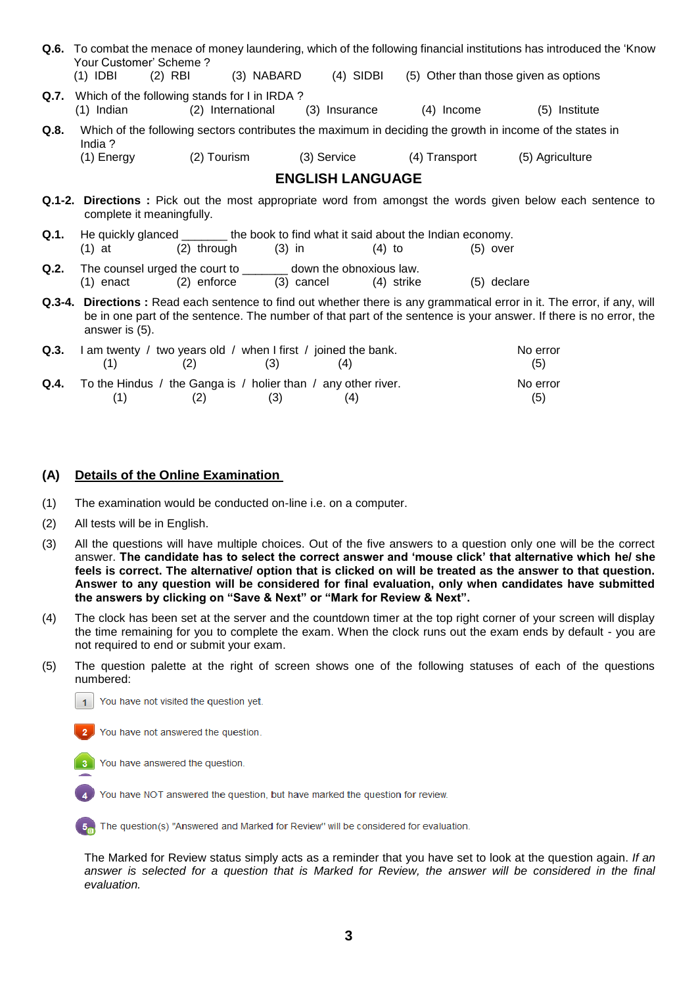|      | <b>Q.6.</b> To combat the menace of money laundering, which of the following financial institutions has introduced the 'Know<br>Your Customer' Scheme?<br>(4) SIDBI (5) Other than those given as options<br>$(2)$ RBI $(3)$ NABARD<br>$(1)$ IDBI |                                                                                                                        |                        |             |                         |               |             |                                                                                                                                                                                                                                              |  |  |
|------|---------------------------------------------------------------------------------------------------------------------------------------------------------------------------------------------------------------------------------------------------|------------------------------------------------------------------------------------------------------------------------|------------------------|-------------|-------------------------|---------------|-------------|----------------------------------------------------------------------------------------------------------------------------------------------------------------------------------------------------------------------------------------------|--|--|
| Q.7. | (1) Indian                                                                                                                                                                                                                                        | Which of the following stands for I in IRDA?                                                                           | (2) International      |             | (3) Insurance           | $(4)$ Income  |             | (5) Institute                                                                                                                                                                                                                                |  |  |
| Q.8. | India $?$<br>(1) Energy                                                                                                                                                                                                                           |                                                                                                                        | (2) Tourism            | (3) Service |                         | (4) Transport |             | Which of the following sectors contributes the maximum in deciding the growth in income of the states in<br>(5) Agriculture                                                                                                                  |  |  |
|      |                                                                                                                                                                                                                                                   |                                                                                                                        |                        |             | <b>ENGLISH LANGUAGE</b> |               |             |                                                                                                                                                                                                                                              |  |  |
|      | <b>Q.1-2. Directions</b> : Pick out the most appropriate word from amongst the words given below each sentence to<br>complete it meaningfully.                                                                                                    |                                                                                                                        |                        |             |                         |               |             |                                                                                                                                                                                                                                              |  |  |
| Q.1. | He quickly glanced ________ the book to find what it said about the Indian economy.                                                                                                                                                               |                                                                                                                        |                        |             |                         |               |             |                                                                                                                                                                                                                                              |  |  |
|      | (1) at                                                                                                                                                                                                                                            |                                                                                                                        | $(2)$ through $(3)$ in |             | $(4)$ to                |               | $(5)$ over  |                                                                                                                                                                                                                                              |  |  |
| Q.2. |                                                                                                                                                                                                                                                   | The counsel urged the court to ________ down the obnoxious law.<br>$(1)$ enact $(2)$ enforce $(3)$ cancel $(4)$ strike |                        |             |                         |               | (5) declare |                                                                                                                                                                                                                                              |  |  |
|      |                                                                                                                                                                                                                                                   |                                                                                                                        |                        |             |                         |               |             | Q.3-4. Directions: Read each sentence to find out whether there is any grammatical error in it. The error, if any, will<br>be in one part of the sentence. The number of that part of the sentence is your answer. If there is no error, the |  |  |

|  | (2) | (3) | <b>Q.3.</b> I am twenty / two years old / when I first / joined the bank.<br>(4) | No error<br>(5) |
|--|-----|-----|----------------------------------------------------------------------------------|-----------------|
|  |     |     | <b>Q.4.</b> To the Hindus / the Ganga is / holier than / any other river.        | No error        |
|  | (2) | (3) | (4)                                                                              | (5)             |

#### **(A) Details of the Online Examination**

- (1) The examination would be conducted on-line i.e. on a computer.
- (2) All tests will be in English.

answer is (5).

- (3) All the questions will have multiple choices. Out of the five answers to a question only one will be the correct answer. **The candidate has to select the correct answer and 'mouse click' that alternative which he/ she feels is correct. The alternative/ option that is clicked on will be treated as the answer to that question. Answer to any question will be considered for final evaluation, only when candidates have submitted the answers by clicking on "Save & Next" or "Mark for Review & Next".**
- (4) The clock has been set at the server and the countdown timer at the top right corner of your screen will display the time remaining for you to complete the exam. When the clock runs out the exam ends by default - you are not required to end or submit your exam.
- (5) The question palette at the right of screen shows one of the following statuses of each of the questions numbered:

You have not visited the question yet.  $\vert$  1



You have answered the question.

You have NOT answered the question, but have marked the question for review.

The question(s) "Answered and Marked for Review" will be considered for evaluation.  $5<sub>m</sub>$ 

The Marked for Review status simply acts as a reminder that you have set to look at the question again. *If an answer is selected for a question that is Marked for Review, the answer will be considered in the final evaluation.*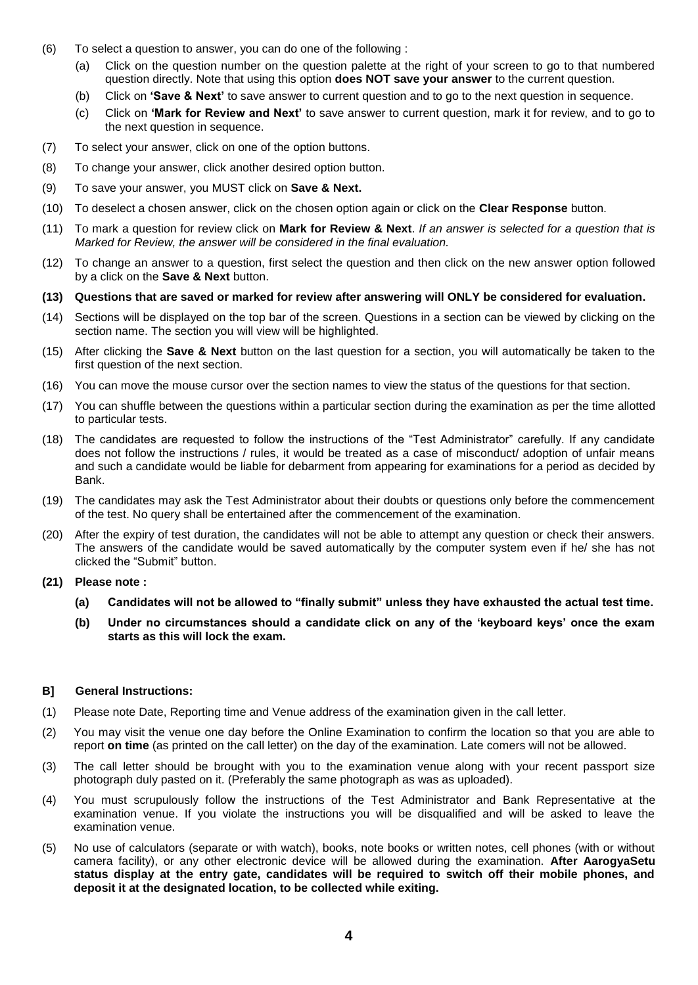- (6) To select a question to answer, you can do one of the following :
	- (a) Click on the question number on the question palette at the right of your screen to go to that numbered question directly. Note that using this option **does NOT save your answer** to the current question.
	- (b) Click on **'Save & Next'** to save answer to current question and to go to the next question in sequence.
	- (c) Click on **'Mark for Review and Next'** to save answer to current question, mark it for review, and to go to the next question in sequence.
- (7) To select your answer, click on one of the option buttons.
- (8) To change your answer, click another desired option button.
- (9) To save your answer, you MUST click on **Save & Next.**
- (10) To deselect a chosen answer, click on the chosen option again or click on the **Clear Response** button.
- (11) To mark a question for review click on **Mark for Review & Next**. *If an answer is selected for a question that is Marked for Review, the answer will be considered in the final evaluation.*
- (12) To change an answer to a question, first select the question and then click on the new answer option followed by a click on the **Save & Next** button.
- **(13) Questions that are saved or marked for review after answering will ONLY be considered for evaluation.**
- (14) Sections will be displayed on the top bar of the screen. Questions in a section can be viewed by clicking on the section name. The section you will view will be highlighted.
- (15) After clicking the **Save & Next** button on the last question for a section, you will automatically be taken to the first question of the next section.
- (16) You can move the mouse cursor over the section names to view the status of the questions for that section.
- (17) You can shuffle between the questions within a particular section during the examination as per the time allotted to particular tests.
- (18) The candidates are requested to follow the instructions of the "Test Administrator" carefully. If any candidate does not follow the instructions / rules, it would be treated as a case of misconduct/ adoption of unfair means and such a candidate would be liable for debarment from appearing for examinations for a period as decided by Bank.
- (19) The candidates may ask the Test Administrator about their doubts or questions only before the commencement of the test. No query shall be entertained after the commencement of the examination.
- (20) After the expiry of test duration, the candidates will not be able to attempt any question or check their answers. The answers of the candidate would be saved automatically by the computer system even if he/ she has not clicked the "Submit" button.
- **(21) Please note :**
	- **(a) Candidates will not be allowed to "finally submit" unless they have exhausted the actual test time.**
	- **(b) Under no circumstances should a candidate click on any of the 'keyboard keys' once the exam starts as this will lock the exam.**

#### **B] General Instructions:**

- (1) Please note Date, Reporting time and Venue address of the examination given in the call letter.
- (2) You may visit the venue one day before the Online Examination to confirm the location so that you are able to report **on time** (as printed on the call letter) on the day of the examination. Late comers will not be allowed.
- (3) The call letter should be brought with you to the examination venue along with your recent passport size photograph duly pasted on it. (Preferably the same photograph as was as uploaded).
- (4) You must scrupulously follow the instructions of the Test Administrator and Bank Representative at the examination venue. If you violate the instructions you will be disqualified and will be asked to leave the examination venue.
- (5) No use of calculators (separate or with watch), books, note books or written notes, cell phones (with or without camera facility), or any other electronic device will be allowed during the examination. **After AarogyaSetu status display at the entry gate, candidates will be required to switch off their mobile phones, and deposit it at the designated location, to be collected while exiting.**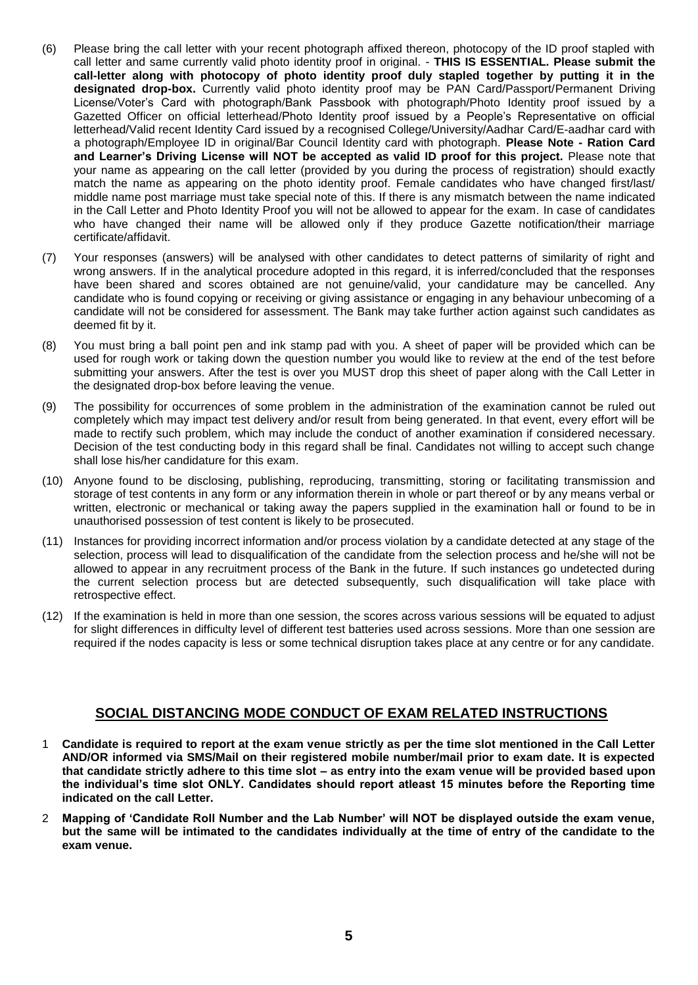- (6) Please bring the call letter with your recent photograph affixed thereon, photocopy of the ID proof stapled with call letter and same currently valid photo identity proof in original. - **THIS IS ESSENTIAL. Please submit the call-letter along with photocopy of photo identity proof duly stapled together by putting it in the designated drop-box.** Currently valid photo identity proof may be PAN Card/Passport/Permanent Driving License/Voter's Card with photograph/Bank Passbook with photograph/Photo Identity proof issued by a Gazetted Officer on official letterhead/Photo Identity proof issued by a People's Representative on official letterhead/Valid recent Identity Card issued by a recognised College/University/Aadhar Card/E-aadhar card with a photograph/Employee ID in original/Bar Council Identity card with photograph. **Please Note - Ration Card and Learner's Driving License will NOT be accepted as valid ID proof for this project.** Please note that your name as appearing on the call letter (provided by you during the process of registration) should exactly match the name as appearing on the photo identity proof. Female candidates who have changed first/last/ middle name post marriage must take special note of this. If there is any mismatch between the name indicated in the Call Letter and Photo Identity Proof you will not be allowed to appear for the exam. In case of candidates who have changed their name will be allowed only if they produce Gazette notification/their marriage certificate/affidavit.
- (7) Your responses (answers) will be analysed with other candidates to detect patterns of similarity of right and wrong answers. If in the analytical procedure adopted in this regard, it is inferred/concluded that the responses have been shared and scores obtained are not genuine/valid, your candidature may be cancelled. Any candidate who is found copying or receiving or giving assistance or engaging in any behaviour unbecoming of a candidate will not be considered for assessment. The Bank may take further action against such candidates as deemed fit by it.
- (8) You must bring a ball point pen and ink stamp pad with you. A sheet of paper will be provided which can be used for rough work or taking down the question number you would like to review at the end of the test before submitting your answers. After the test is over you MUST drop this sheet of paper along with the Call Letter in the designated drop-box before leaving the venue.
- (9) The possibility for occurrences of some problem in the administration of the examination cannot be ruled out completely which may impact test delivery and/or result from being generated. In that event, every effort will be made to rectify such problem, which may include the conduct of another examination if considered necessary. Decision of the test conducting body in this regard shall be final. Candidates not willing to accept such change shall lose his/her candidature for this exam.
- (10) Anyone found to be disclosing, publishing, reproducing, transmitting, storing or facilitating transmission and storage of test contents in any form or any information therein in whole or part thereof or by any means verbal or written, electronic or mechanical or taking away the papers supplied in the examination hall or found to be in unauthorised possession of test content is likely to be prosecuted.
- (11) Instances for providing incorrect information and/or process violation by a candidate detected at any stage of the selection, process will lead to disqualification of the candidate from the selection process and he/she will not be allowed to appear in any recruitment process of the Bank in the future. If such instances go undetected during the current selection process but are detected subsequently, such disqualification will take place with retrospective effect.
- (12) If the examination is held in more than one session, the scores across various sessions will be equated to adjust for slight differences in difficulty level of different test batteries used across sessions. More than one session are required if the nodes capacity is less or some technical disruption takes place at any centre or for any candidate.

## **SOCIAL DISTANCING MODE CONDUCT OF EXAM RELATED INSTRUCTIONS**

- 1 **Candidate is required to report at the exam venue strictly as per the time slot mentioned in the Call Letter AND/OR informed via SMS/Mail on their registered mobile number/mail prior to exam date. It is expected that candidate strictly adhere to this time slot – as entry into the exam venue will be provided based upon the individual's time slot ONLY. Candidates should report atleast 15 minutes before the Reporting time indicated on the call Letter.**
- 2 **Mapping of 'Candidate Roll Number and the Lab Number' will NOT be displayed outside the exam venue, but the same will be intimated to the candidates individually at the time of entry of the candidate to the exam venue.**